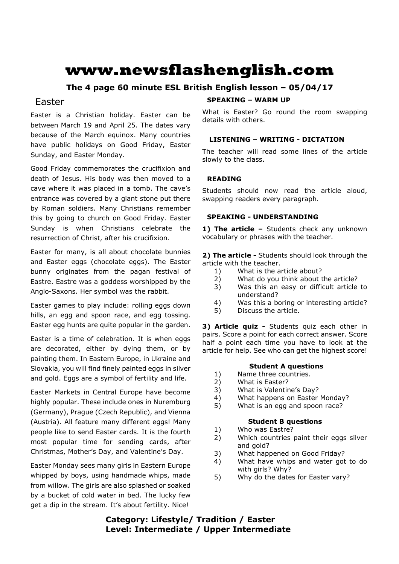# **www.newsflashenglish.com**

# **The 4 page 60 minute ESL British English lesson – 05/04/17**

# Easter

Easter is a Christian holiday. Easter can be between March 19 and April 25. The dates vary because of the March equinox. Many countries have public holidays on Good Friday, Easter Sunday, and Easter Monday.

Good Friday commemorates the crucifixion and death of Jesus. His body was then moved to a cave where it was placed in a tomb. The cave's entrance was covered by a giant stone put there by Roman soldiers. Many Christians remember this by going to church on Good Friday. Easter Sunday is when Christians celebrate the resurrection of Christ, after his crucifixion.

Easter for many, is all about chocolate bunnies and Easter eggs (chocolate eggs). The Easter bunny originates from the pagan festival of Eastre. Eastre was a goddess worshipped by the Anglo-Saxons. Her symbol was the rabbit.

Easter games to play include: rolling eggs down hills, an egg and spoon race, and egg tossing. Easter egg hunts are quite popular in the garden.

Easter is a time of celebration. It is when eggs are decorated, either by dying them, or by painting them. In Eastern Europe, in Ukraine and Slovakia, you will find finely painted eggs in silver and gold. Eggs are a symbol of fertility and life.

Easter Markets in Central Europe have become highly popular. These include ones in Nuremburg (Germany), Prague (Czech Republic), and Vienna (Austria). All feature many different eggs! Many people like to send Easter cards. It is the fourth most popular time for sending cards, after Christmas, Mother's Day, and Valentine's Day.

Easter Monday sees many girls in Eastern Europe whipped by boys, using handmade whips, made from willow. The girls are also splashed or soaked by a bucket of cold water in bed. The lucky few get a dip in the stream. It's about fertility. Nice!

# **SPEAKING – WARM UP**

What is Easter? Go round the room swapping details with others.

# **LISTENING – WRITING - DICTATION**

The teacher will read some lines of the article slowly to the class.

# **READING**

Students should now read the article aloud, swapping readers every paragraph.

# **SPEAKING - UNDERSTANDING**

**1) The article –** Students check any unknown vocabulary or phrases with the teacher.

**2) The article -** Students should look through the article with the teacher.

- 1) What is the article about?
- 2) What do you think about the article?
- 3) Was this an easy or difficult article to understand?
- 4) Was this a boring or interesting article?
- 5) Discuss the article.

**3) Article quiz -** Students quiz each other in pairs. Score a point for each correct answer. Score half a point each time you have to look at the article for help. See who can get the highest score!

# **Student A questions**

- 1) Name three countries.
- 2) What is Easter?
- 3) What is Valentine's Day?
- 4) What happens on Easter Monday?
- 5) What is an egg and spoon race?

# **Student B questions**

- 1) Who was Eastre?
- 2) Which countries paint their eggs silver and gold?
- 3) What happened on Good Friday?
- 4) What have whips and water got to do with girls? Why?
- 5) Why do the dates for Easter vary?

# **Category: Lifestyle/ Tradition / Easter Level: Intermediate / Upper Intermediate**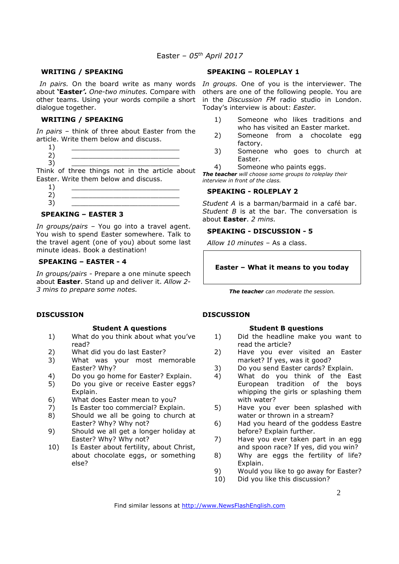#### **WRITING / SPEAKING**

dialogue together.

### **WRITING / SPEAKING**

*In pairs* – think of three about Easter from the article. Write them below and discuss.

- $1)$   $\qquad \qquad$
- 2) \_\_\_\_\_\_\_\_\_\_\_\_\_\_\_\_\_\_\_\_\_\_\_\_\_\_
- 3) \_\_\_\_\_\_\_\_\_\_\_\_\_\_\_\_\_\_\_\_\_\_\_\_\_\_

Think of three things not in the article about Easter. Write them below and discuss.

 $1)$   $\qquad \qquad$ 2) \_\_\_\_\_\_\_\_\_\_\_\_\_\_\_\_\_\_\_\_\_\_\_\_\_\_ 3) \_\_\_\_\_\_\_\_\_\_\_\_\_\_\_\_\_\_\_\_\_\_\_\_\_\_

#### **SPEAKING – EASTER 3**

*In groups/pairs –* You go into a travel agent. You wish to spend Easter somewhere. Talk to the travel agent (one of you) about some last minute ideas. Book a destination!

# **SPEAKING – EASTER - 4**

*In groups/pairs -* Prepare a one minute speech about **Easter**. Stand up and deliver it. *Allow 2- 3 mins to prepare some notes.* 

#### **DISCUSSION**

#### **Student A questions**

- 1) What do you think about what you've read?
- 2) What did you do last Easter?
- 3) What was your most memorable Easter? Why?
- 4) Do you go home for Easter? Explain.
- 5) Do you give or receive Easter eggs? Explain.
- 6) What does Easter mean to you?
- 7) Is Easter too commercial? Explain.
- 8) Should we all be going to church at Easter? Why? Why not?
- 9) Should we all get a longer holiday at Easter? Why? Why not?
- 10) Is Easter about fertility, about Christ, about chocolate eggs, or something else?

#### **SPEAKING – ROLEPLAY 1**

In pairs. On the board write as many words In groups. One of you is the interviewer. The about **'Easter***'. One-two minutes.* Compare with others are one of the following people. You are other teams. Using your words compile a short in the *Discussion FM* radio studio in London. Today's interview is about: *Easter.*

- 1) Someone who likes traditions and who has visited an Easter market.
- 2) Someone from a chocolate egg factory.
- 3) Someone who goes to church at Easter.
- 4) Someone who paints eggs.

*The teacher will choose some groups to roleplay their interview in front of the class.* 

#### **SPEAKING - ROLEPLAY 2**

*Student A* is a barman/barmaid in a café bar. *Student B* is at the bar. The conversation is about **Easter**. *2 mins.* 

### **SPEAKING - DISCUSSION - 5**

*Allow 10 minutes* – As a class.

# **Easter – What it means to you today**

*The teacher can moderate the session.*

# **DISCUSSION**

#### **Student B questions**

- 1) Did the headline make you want to read the article?
- 2) Have you ever visited an Easter market? If yes, was it good?
- 3) Do you send Easter cards? Explain.
- 4) What do you think of the East European tradition of the boys whipping the girls or splashing them with water?
- 5) Have you ever been splashed with water or thrown in a stream?
- 6) Had you heard of the goddess Eastre before? Explain further.
- 7) Have you ever taken part in an egg and spoon race? If yes, did you win?
- 8) Why are eggs the fertility of life? Explain.
- 9) Would you like to go away for Easter?
- 10) Did you like this discussion?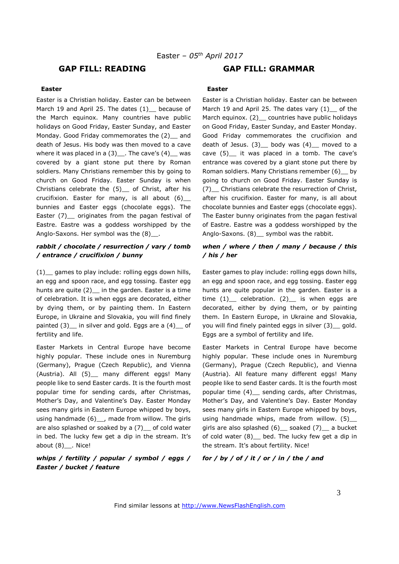# **GAP FILL: READING GAP FILL: GRAMMAR**

#### **Easter**

Easter is a Christian holiday. Easter can be between March 19 and April 25. The dates (1) because of the March equinox. Many countries have public holidays on Good Friday, Easter Sunday, and Easter Monday. Good Friday commemorates the (2) and death of Jesus. His body was then moved to a cave where it was placed in a  $(3)$ . The cave's  $(4)$ , was covered by a giant stone put there by Roman soldiers. Many Christians remember this by going to church on Good Friday. Easter Sunday is when Christians celebrate the (5)\_\_ of Christ, after his crucifixion. Easter for many, is all about  $(6)$ bunnies and Easter eggs (chocolate eggs). The Easter (7) originates from the pagan festival of Eastre. Eastre was a goddess worshipped by the Anglo-Saxons. Her symbol was the  $(8)$ .

# *rabbit / chocolate / resurrection / vary / tomb / entrance / crucifixion / bunny*

(1)\_\_ games to play include: rolling eggs down hills, an egg and spoon race, and egg tossing. Easter egg hunts are quite (2) in the garden. Easter is a time of celebration. It is when eggs are decorated, either by dying them, or by painting them. In Eastern Europe, in Ukraine and Slovakia, you will find finely painted (3)\_ in silver and gold. Eggs are a (4)\_ of fertility and life.

Easter Markets in Central Europe have become highly popular. These include ones in Nuremburg (Germany), Prague (Czech Republic), and Vienna (Austria). All (5)\_ many different eggs! Many people like to send Easter cards. It is the fourth most popular time for sending cards, after Christmas, Mother's Day, and Valentine's Day. Easter Monday sees many girls in Eastern Europe whipped by boys, using handmade (6) \_\_, made from willow. The girls are also splashed or soaked by a (7) of cold water in bed. The lucky few get a dip in the stream. It's about (8) . Nice!

# *whips / fertility / popular / symbol / eggs / Easter / bucket / feature*

#### **Easter**

Easter is a Christian holiday. Easter can be between March 19 and April 25. The dates vary  $(1)$  of the March equinox. (2) countries have public holidays on Good Friday, Easter Sunday, and Easter Monday. Good Friday commemorates the crucifixion and death of Jesus.  $(3)$  body was  $(4)$  moved to a cave (5) it was placed in a tomb. The cave's entrance was covered by a giant stone put there by Roman soldiers. Many Christians remember (6)\_\_ by going to church on Good Friday. Easter Sunday is (7)\_\_ Christians celebrate the resurrection of Christ, after his crucifixion. Easter for many, is all about chocolate bunnies and Easter eggs (chocolate eggs). The Easter bunny originates from the pagan festival of Eastre. Eastre was a goddess worshipped by the Anglo-Saxons. (8) \_ symbol was the rabbit.

# *when / where / then / many / because / this / his / her*

Easter games to play include: rolling eggs down hills, an egg and spoon race, and egg tossing. Easter egg hunts are quite popular in the garden. Easter is a time  $(1)$  celebration.  $(2)$  is when eggs are decorated, either by dying them, or by painting them. In Eastern Europe, in Ukraine and Slovakia, you will find finely painted eggs in silver (3) gold. Eggs are a symbol of fertility and life.

Easter Markets in Central Europe have become highly popular. These include ones in Nuremburg (Germany), Prague (Czech Republic), and Vienna (Austria). All feature many different eggs! Many people like to send Easter cards. It is the fourth most popular time (4)\_\_ sending cards, after Christmas, Mother's Day, and Valentine's Day. Easter Monday sees many girls in Eastern Europe whipped by boys, using handmade whips, made from willow. (5) girls are also splashed (6) \_\_ soaked (7) \_\_ a bucket of cold water (8) bed. The lucky few get a dip in the stream. It's about fertility. Nice!

#### *for / by / of / it / or / in / the / and*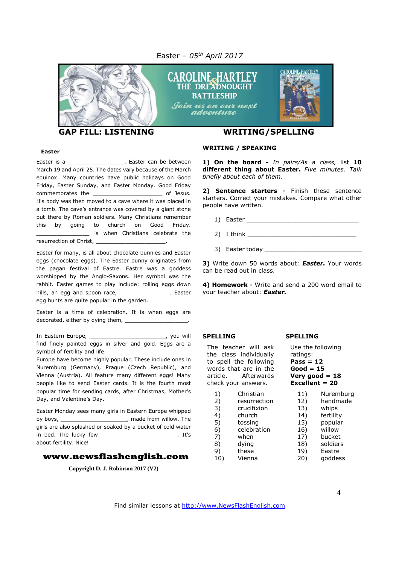Easter *– 05 th April 2017*



#### **Easter**

Easter is a \_\_\_\_\_\_\_\_\_\_\_\_\_\_\_\_\_\_\_\_. Easter can be between March 19 and April 25. The dates vary because of the March equinox. Many countries have public holidays on Good Friday, Easter Sunday, and Easter Monday. Good Friday commemorates the example of Jesus. His body was then moved to a cave where it was placed in a tomb. The cave's entrance was covered by a giant stone put there by Roman soldiers. Many Christians remember this by going to church on Good Friday. is when Christians celebrate the resurrection of Christ,

Easter for many, is all about chocolate bunnies and Easter eggs (chocolate eggs). The Easter bunny originates from the pagan festival of Eastre. Eastre was a goddess worshipped by the Anglo-Saxons. Her symbol was the rabbit. Easter games to play include: rolling eggs down hills, an egg and spoon race, \_\_\_\_\_\_\_\_\_\_\_\_\_\_\_\_\_. Easter egg hunts are quite popular in the garden.

Easter is a time of celebration. It is when eggs are decorated, either by dying them, \_\_\_\_\_\_\_\_\_\_\_\_\_\_\_\_\_\_\_.

In Eastern Europe, \_\_\_\_\_\_\_\_\_\_\_\_\_\_\_\_\_\_\_\_\_\_\_, you will find finely painted eggs in silver and gold. Eggs are a symbol of fertility and life.

Europe have become highly popular. These include ones in Nuremburg (Germany), Prague (Czech Republic), and Vienna (Austria). All feature many different eggs! Many people like to send Easter cards. It is the fourth most popular time for sending cards, after Christmas, Mother's Day, and Valentine's Day.

Easter Monday sees many girls in Eastern Europe whipped by boys, \_\_\_\_\_\_\_\_\_\_\_\_\_\_\_\_\_\_\_\_, made from willow. The girls are also splashed or soaked by a bucket of cold water in bed. The lucky few \_\_\_\_\_\_\_\_\_\_\_\_\_\_\_\_\_\_\_\_\_\_\_. It's about fertility. Nice!

#### **www.newsflashenglish.com**

**Copyright D. J. Robinson 2017 (V2)**

#### **WRITING / SPEAKING**

**1) On the board -** *In pairs/As a class,* list **10 different thing about Easter.** *Five minutes. Talk briefly about each of them*.

**2) Sentence starters -** Finish these sentence starters. Correct your mistakes. Compare what other people have written.

1) Easter \_\_\_\_\_\_\_\_\_\_\_\_\_\_\_\_\_\_\_\_\_\_\_\_\_\_\_\_\_\_

 $2)$  I think  $\overline{\phantom{a}}$ 

3) Easter today \_\_\_\_\_\_

**3)** Write down 50 words about: *Easter.* Your words can be read out in class.

**4) Homework -** Write and send a 200 word email to your teacher about: *Easter.*

#### **SPELLING**

 $\begin{pmatrix} 1 \\ 2 \end{pmatrix}$ 

 $4)$  $5)$ 6) celebration  $7)$ 8) 9)  $10)$ 

The teacher will ask the class individually to spell the following words that are in the article. Afterwards check your answers.

| eck your answers. |              | Excellent $= 20$ |           |
|-------------------|--------------|------------------|-----------|
| 1)                | Christian    | 11)              | Nuremburg |
| 2)                | resurrection | 12)              | handmade  |
| 3)                | crucifixion  | 13)              | whips     |
| 4)                | church       | 14)              | fertility |
| 5)                | tossing      | 15)              | popular   |
| 6)                | celebration  | 16)              | willow    |
| 7)                | when         | 17)              | bucket    |
| 8)                | dying        | 18)              | soldiers  |
| 9)                | these        | 19)              | Eastre    |
| 10)               | Vienna       | 20)              | goddess   |

**SPELLING**

ratings: **Pass = 12 Good = 15 Very good = 18**

Use the following